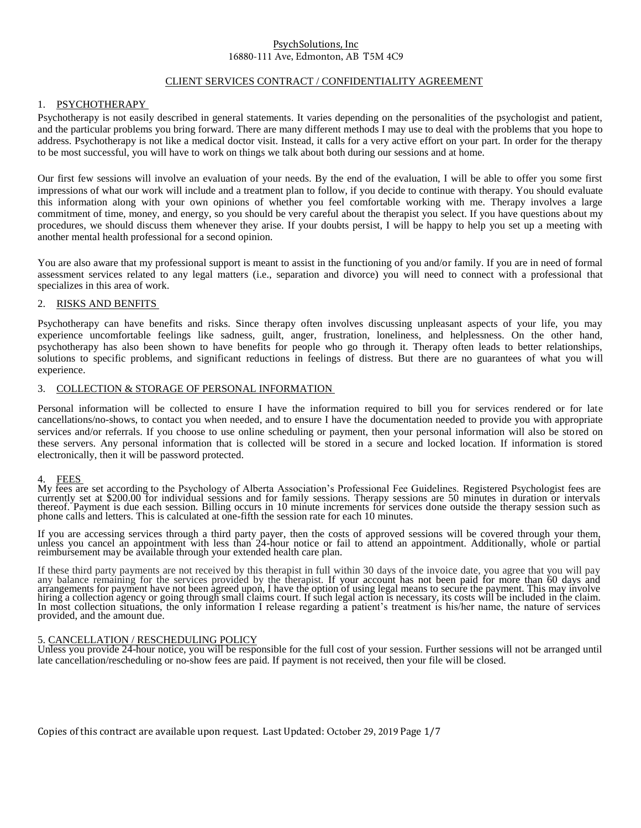### CLIENT SERVICES CONTRACT / CONFIDENTIALITY AGREEMENT

# 1. PSYCHOTHERAPY

Psychotherapy is not easily described in general statements. It varies depending on the personalities of the psychologist and patient, and the particular problems you bring forward. There are many different methods I may use to deal with the problems that you hope to address. Psychotherapy is not like a medical doctor visit. Instead, it calls for a very active effort on your part. In order for the therapy to be most successful, you will have to work on things we talk about both during our sessions and at home.

Our first few sessions will involve an evaluation of your needs. By the end of the evaluation, I will be able to offer you some first impressions of what our work will include and a treatment plan to follow, if you decide to continue with therapy. You should evaluate this information along with your own opinions of whether you feel comfortable working with me. Therapy involves a large commitment of time, money, and energy, so you should be very careful about the therapist you select. If you have questions about my procedures, we should discuss them whenever they arise. If your doubts persist, I will be happy to help you set up a meeting with another mental health professional for a second opinion.

You are also aware that my professional support is meant to assist in the functioning of you and/or family. If you are in need of formal assessment services related to any legal matters (i.e., separation and divorce) you will need to connect with a professional that specializes in this area of work.

## 2. RISKS AND BENFITS

Psychotherapy can have benefits and risks. Since therapy often involves discussing unpleasant aspects of your life, you may experience uncomfortable feelings like sadness, guilt, anger, frustration, loneliness, and helplessness. On the other hand, psychotherapy has also been shown to have benefits for people who go through it. Therapy often leads to better relationships, solutions to specific problems, and significant reductions in feelings of distress. But there are no guarantees of what you will experience.

#### 3. COLLECTION & STORAGE OF PERSONAL INFORMATION

Personal information will be collected to ensure I have the information required to bill you for services rendered or for late cancellations/no-shows, to contact you when needed, and to ensure I have the documentation needed to provide you with appropriate services and/or referrals. If you choose to use online scheduling or payment, then your personal information will also be stored on these servers. Any personal information that is collected will be stored in a secure and locked location. If information is stored electronically, then it will be password protected.

#### 4. FEES

My fees are set according to the Psychology of Alberta Association's Professional Fee Guidelines. Registered Psychologist fees are currently set at \$200.00 for individual sessions and for family sessions. Therapy sessions are 50 minutes in duration or intervals thereof. Payment is due each session. Billing occurs in 10 minute increments for services done outside the therapy session such as phone calls and letters. This is calculated at one-fifth the session rate for each 10 minutes.

If you are accessing services through a third party payer, then the costs of approved sessions will be covered through your them, unless you cancel an appointment with less than 24-hour notice or fail to attend an appointment. Additionally, whole or partial reimbursement may be available through your extended health care plan.

If these third party payments are not received by this therapist in full within 30 days of the invoice date, you agree that you will pay any balance remaining for the services provided by the therapist. If your account has not been paid for more than 60 days and arrangements for payment have not been agreed upon, I have the option of using legal means to secure the payment. This may involve hiring a collection agency or going through small claims court. If such legal action is necessary, its costs will be included in the claim. In most collection situations, the only information I release regarding a patient's treatment is his/her name, the nature of services provided, and the amount due.

#### 5. CANCELLATION / RESCHEDULING POLICY

Unless you provide 24-hour notice, you will be responsible for the full cost of your session. Further sessions will not be arranged until late cancellation/rescheduling or no-show fees are paid. If payment is not received, then your file will be closed.

Copies of this contract are available upon request. Last Updated: October 29, 2019 Page 1/7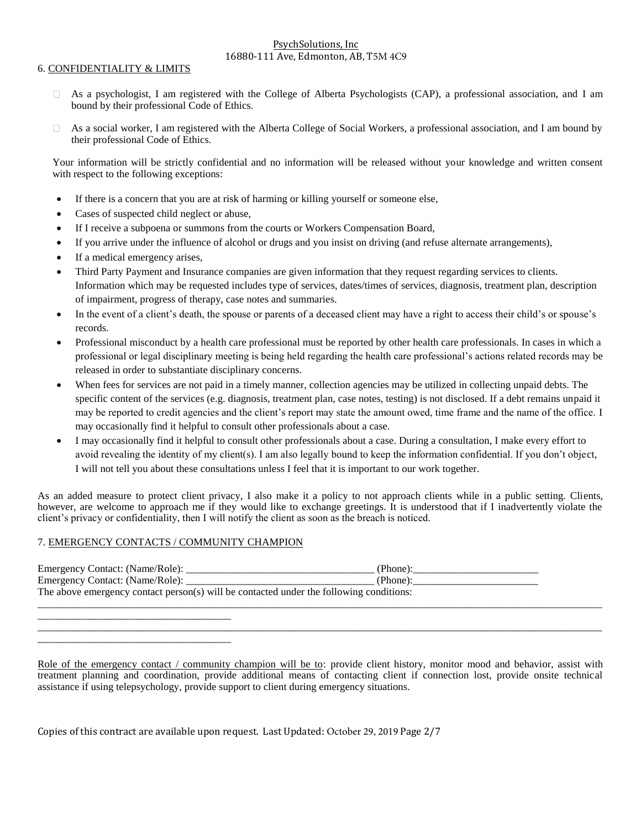### 6. CONFIDENTIALITY & LIMITS

- $\Box$  As a psychologist, I am registered with the College of Alberta Psychologists (CAP), a professional association, and I am bound by their professional Code of Ethics.
- As a social worker, I am registered with the Alberta College of Social Workers, a professional association, and I am bound by  $\Box$ their professional Code of Ethics.

Your information will be strictly confidential and no information will be released without your knowledge and written consent with respect to the following exceptions:

- If there is a concern that you are at risk of harming or killing yourself or someone else,
- Cases of suspected child neglect or abuse,
- If I receive a subpoena or summons from the courts or Workers Compensation Board,
- If you arrive under the influence of alcohol or drugs and you insist on driving (and refuse alternate arrangements),
- If a medical emergency arises,
- Third Party Payment and Insurance companies are given information that they request regarding services to clients. Information which may be requested includes type of services, dates/times of services, diagnosis, treatment plan, description of impairment, progress of therapy, case notes and summaries.
- In the event of a client's death, the spouse or parents of a deceased client may have a right to access their child's or spouse's records.
- Professional misconduct by a health care professional must be reported by other health care professionals. In cases in which a professional or legal disciplinary meeting is being held regarding the health care professional's actions related records may be released in order to substantiate disciplinary concerns.
- When fees for services are not paid in a timely manner, collection agencies may be utilized in collecting unpaid debts. The specific content of the services (e.g. diagnosis, treatment plan, case notes, testing) is not disclosed. If a debt remains unpaid it may be reported to credit agencies and the client's report may state the amount owed, time frame and the name of the office. I may occasionally find it helpful to consult other professionals about a case.
- I may occasionally find it helpful to consult other professionals about a case. During a consultation, I make every effort to avoid revealing the identity of my client(s). I am also legally bound to keep the information confidential. If you don't object, I will not tell you about these consultations unless I feel that it is important to our work together.

As an added measure to protect client privacy, I also make it a policy to not approach clients while in a public setting. Clients, however, are welcome to approach me if they would like to exchange greetings. It is understood that if I inadvertently violate the client's privacy or confidentiality, then I will notify the client as soon as the breach is noticed.

# 7. EMERGENCY CONTACTS / COMMUNITY CHAMPION

\_\_\_\_\_\_\_\_\_\_\_\_\_\_\_\_\_\_\_\_\_\_\_\_\_\_\_\_\_\_\_\_\_\_\_\_\_

\_\_\_\_\_\_\_\_\_\_\_\_\_\_\_\_\_\_\_\_\_\_\_\_\_\_\_\_\_\_\_\_\_\_\_\_\_

| Emergency Contact: (Name/Role):                                                         | (Phone): |  |
|-----------------------------------------------------------------------------------------|----------|--|
| Emergency Contact: (Name/Role):                                                         | (Phone): |  |
| The above emergency contact person(s) will be contacted under the following conditions: |          |  |
|                                                                                         |          |  |

Role of the emergency contact / community champion will be to: provide client history, monitor mood and behavior, assist with treatment planning and coordination, provide additional means of contacting client if connection lost, provide onsite technical assistance if using telepsychology, provide support to client during emergency situations.

\_\_\_\_\_\_\_\_\_\_\_\_\_\_\_\_\_\_\_\_\_\_\_\_\_\_\_\_\_\_\_\_\_\_\_\_\_\_\_\_\_\_\_\_\_\_\_\_\_\_\_\_\_\_\_\_\_\_\_\_\_\_\_\_\_\_\_\_\_\_\_\_\_\_\_\_\_\_\_\_\_\_\_\_\_\_\_\_\_\_\_\_\_\_\_\_\_\_\_\_\_\_\_\_\_\_\_\_

Copies of this contract are available upon request. Last Updated: October 29, 2019 Page 2/7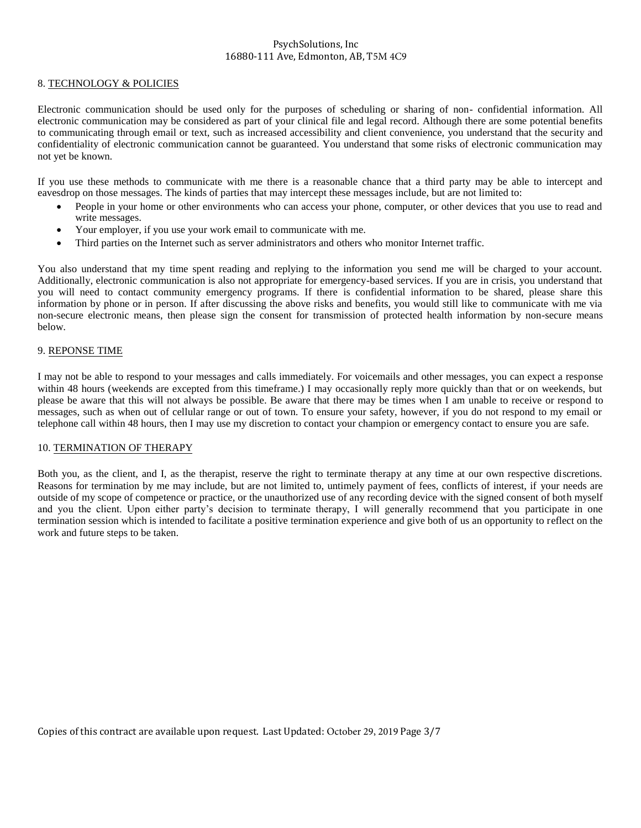## 8. TECHNOLOGY & POLICIES

Electronic communication should be used only for the purposes of scheduling or sharing of non- confidential information. All electronic communication may be considered as part of your clinical file and legal record. Although there are some potential benefits to communicating through email or text, such as increased accessibility and client convenience, you understand that the security and confidentiality of electronic communication cannot be guaranteed. You understand that some risks of electronic communication may not yet be known.

If you use these methods to communicate with me there is a reasonable chance that a third party may be able to intercept and eavesdrop on those messages. The kinds of parties that may intercept these messages include, but are not limited to:

- People in your home or other environments who can access your phone, computer, or other devices that you use to read and write messages.
- Your employer, if you use your work email to communicate with me.
- Third parties on the Internet such as server administrators and others who monitor Internet traffic.

You also understand that my time spent reading and replying to the information you send me will be charged to your account. Additionally, electronic communication is also not appropriate for emergency-based services. If you are in crisis, you understand that you will need to contact community emergency programs. If there is confidential information to be shared, please share this information by phone or in person. If after discussing the above risks and benefits, you would still like to communicate with me via non-secure electronic means, then please sign the consent for transmission of protected health information by non-secure means below.

## 9. REPONSE TIME

I may not be able to respond to your messages and calls immediately. For voicemails and other messages, you can expect a response within 48 hours (weekends are excepted from this timeframe.) I may occasionally reply more quickly than that or on weekends, but please be aware that this will not always be possible. Be aware that there may be times when I am unable to receive or respond to messages, such as when out of cellular range or out of town. To ensure your safety, however, if you do not respond to my email or telephone call within 48 hours, then I may use my discretion to contact your champion or emergency contact to ensure you are safe.

## 10. TERMINATION OF THERAPY

Both you, as the client, and I, as the therapist, reserve the right to terminate therapy at any time at our own respective discretions. Reasons for termination by me may include, but are not limited to, untimely payment of fees, conflicts of interest, if your needs are outside of my scope of competence or practice, or the unauthorized use of any recording device with the signed consent of both myself and you the client. Upon either party's decision to terminate therapy, I will generally recommend that you participate in one termination session which is intended to facilitate a positive termination experience and give both of us an opportunity to reflect on the work and future steps to be taken.

Copies of this contract are available upon request. Last Updated: October 29, 2019 Page 3/7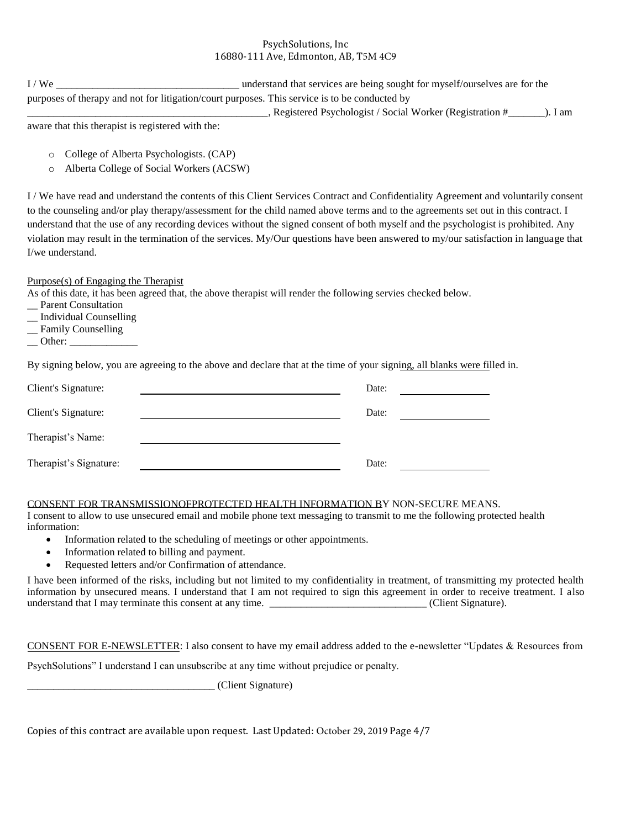| I/We                                                                                          | understand that services are being sought for myself/ourselves are for the |      |  |  |
|-----------------------------------------------------------------------------------------------|----------------------------------------------------------------------------|------|--|--|
| purposes of therapy and not for litigation/court purposes. This service is to be conducted by |                                                                            |      |  |  |
|                                                                                               | , Registered Psychologist / Social Worker (Registration #                  | 1 am |  |  |

aware that this therapist is registered with the:

- o College of Alberta Psychologists. (CAP)
- o Alberta College of Social Workers (ACSW)

I / We have read and understand the contents of this Client Services Contract and Confidentiality Agreement and voluntarily consent to the counseling and/or play therapy/assessment for the child named above terms and to the agreements set out in this contract. I understand that the use of any recording devices without the signed consent of both myself and the psychologist is prohibited. Any violation may result in the termination of the services. My/Our questions have been answered to my/our satisfaction in language that I/we understand.

Purpose(s) of Engaging the Therapist

As of this date, it has been agreed that, the above therapist will render the following servies checked below.

- Parent Consultation
- \_\_ Individual Counselling
- \_\_ Family Counselling
- $\Box$  Other:

By signing below, you are agreeing to the above and declare that at the time of your signing, all blanks were filled in.

| Client's Signature:    | Date: |  |
|------------------------|-------|--|
| Client's Signature:    | Date: |  |
| Therapist's Name:      |       |  |
| Therapist's Signature: | Date: |  |

# CONSENT FOR TRANSMISSIONOFPROTECTED HEALTH INFORMATION BY NON-SECURE MEANS.

I consent to allow to use unsecured email and mobile phone text messaging to transmit to me the following protected health information:

- Information related to the scheduling of meetings or other appointments.
- Information related to billing and payment.
- Requested letters and/or Confirmation of attendance.

I have been informed of the risks, including but not limited to my confidentiality in treatment, of transmitting my protected health information by unsecured means. I understand that I am not required to sign this agreement in order to receive treatment. I also understand that I may terminate this consent at any time. \_\_\_\_\_\_\_\_\_\_\_\_\_\_\_\_\_\_\_\_\_\_\_\_\_\_\_\_\_\_\_\_(Client Signature).

CONSENT FOR E-NEWSLETTER: I also consent to have my email address added to the e-newsletter "Updates & Resources from

PsychSolutions" I understand I can unsubscribe at any time without prejudice or penalty.

\_\_\_\_\_\_\_\_\_\_\_\_\_\_\_\_\_\_\_\_\_\_\_\_\_\_\_\_\_\_\_\_\_\_\_\_ (Client Signature)

Copies of this contract are available upon request. Last Updated: October 29, 2019 Page 4/7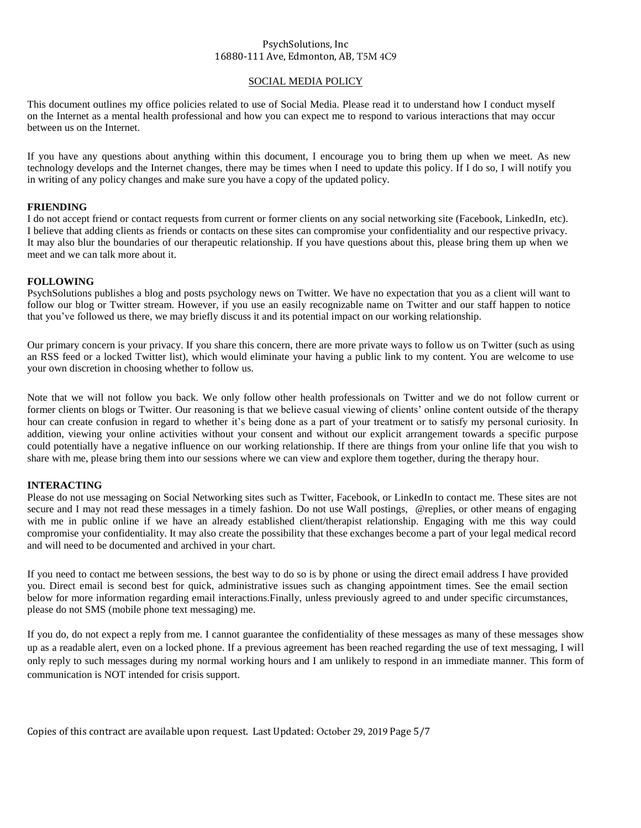### SOCIAL MEDIA POLICY

This document outlines my office policies related to use of Social Media. Please read it to understand how I conduct myself on the Internet as a mental health professional and how you can expect me to respond to various interactions that may occur between us on the Internet.

If you have any questions about anything within this document, I encourage you to bring them up when we meet. As new technology develops and the Internet changes, there may be times when I need to update this policy. If I do so, I will notify you in writing of any policy changes and make sure you have a copy of the updated policy.

# **FRIENDING**

I do not accept friend or contact requests from current or former clients on any social networking site (Facebook, LinkedIn, etc). I believe that adding clients as friends or contacts on these sites can compromise your confidentiality and our respective privacy. It may also blur the boundaries of our therapeutic relationship. If you have questions about this, please bring them up when we meet and we can talk more about it.

## **FOLLOWING**

PsychSolutions publishes a blog and posts psychology news on Twitter. We have no expectation that you as a client will want to follow our blog or Twitter stream. However, if you use an easily recognizable name on Twitter and our staff happen to notice that you've followed us there, we may briefly discuss it and its potential impact on our working relationship.

Our primary concern is your privacy. If you share this concern, there are more private ways to follow us on Twitter (such as using an RSS feed or a locked Twitter list), which would eliminate your having a public link to my content. You are welcome to use your own discretion in choosing whether to follow us.

Note that we will not follow you back. We only follow other health professionals on Twitter and we do not follow current or former clients on blogs or Twitter. Our reasoning is that we believe casual viewing of clients' online content outside of the therapy hour can create confusion in regard to whether it's being done as a part of your treatment or to satisfy my personal curiosity. In addition, viewing your online activities without your consent and without our explicit arrangement towards a specific purpose could potentially have a negative influence on our working relationship. If there are things from your online life that you wish to share with me, please bring them into our sessions where we can view and explore them together, during the therapy hour.

# **INTERACTING**

Please do not use messaging on Social Networking sites such as Twitter, Facebook, or LinkedIn to contact me. These sites are not secure and I may not read these messages in a timely fashion. Do not use Wall postings, [@replies,](mailto:@replies) or other means of engaging with me in public online if we have an already established client/therapist relationship. Engaging with me this way could compromise your confidentiality. It may also create the possibility that these exchanges become a part of your legal medical record and will need to be documented and archived in your chart.

If you need to contact me between sessions, the best way to do so is by phone or using the direct email address I have provided you. Direct email is second best for quick, administrative issues such as changing appointment times. See the email section below for more information regarding email interactions.Finally, unless previously agreed to and under specific circumstances, please do not SMS (mobile phone text messaging) me.

If you do, do not expect a reply from me. I cannot guarantee the confidentiality of these messages as many of these messages show up as a readable alert, even on a locked phone. If a previous agreement has been reached regarding the use of text messaging, I will only reply to such messages during my normal working hours and I am unlikely to respond in an immediate manner. This form of communication is NOT intended for crisis support.

Copies of this contract are available upon request. Last Updated: October 29, 2019 Page 5/7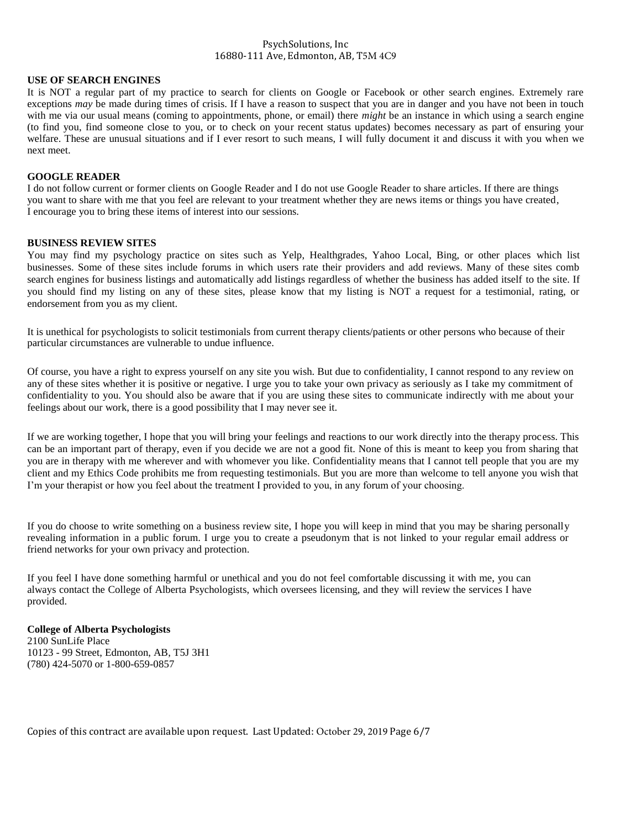### **USE OF SEARCH ENGINES**

It is NOT a regular part of my practice to search for clients on Google or Facebook or other search engines. Extremely rare exceptions *may* be made during times of crisis. If I have a reason to suspect that you are in danger and you have not been in touch with me via our usual means (coming to appointments, phone, or email) there *might* be an instance in which using a search engine (to find you, find someone close to you, or to check on your recent status updates) becomes necessary as part of ensuring your welfare. These are unusual situations and if I ever resort to such means, I will fully document it and discuss it with you when we next meet.

#### **GOOGLE READER**

I do not follow current or former clients on Google Reader and I do not use Google Reader to share articles. If there are things you want to share with me that you feel are relevant to your treatment whether they are news items or things you have created, I encourage you to bring these items of interest into our sessions.

#### **BUSINESS REVIEW SITES**

You may find my psychology practice on sites such as Yelp, Healthgrades, Yahoo Local, Bing, or other places which list businesses. Some of these sites include forums in which users rate their providers and add reviews. Many of these sites comb search engines for business listings and automatically add listings regardless of whether the business has added itself to the site. If you should find my listing on any of these sites, please know that my listing is NOT a request for a testimonial, rating, or endorsement from you as my client.

It is unethical for psychologists to solicit testimonials from current therapy clients/patients or other persons who because of their particular circumstances are vulnerable to undue influence.

Of course, you have a right to express yourself on any site you wish. But due to confidentiality, I cannot respond to any review on any of these sites whether it is positive or negative. I urge you to take your own privacy as seriously as I take my commitment of confidentiality to you. You should also be aware that if you are using these sites to communicate indirectly with me about your feelings about our work, there is a good possibility that I may never see it.

If we are working together, I hope that you will bring your feelings and reactions to our work directly into the therapy process. This can be an important part of therapy, even if you decide we are not a good fit. None of this is meant to keep you from sharing that you are in therapy with me wherever and with whomever you like. Confidentiality means that I cannot tell people that you are my client and my Ethics Code prohibits me from requesting testimonials. But you are more than welcome to tell anyone you wish that I'm your therapist or how you feel about the treatment I provided to you, in any forum of your choosing.

If you do choose to write something on a business review site, I hope you will keep in mind that you may be sharing personally revealing information in a public forum. I urge you to create a pseudonym that is not linked to your regular email address or friend networks for your own privacy and protection.

If you feel I have done something harmful or unethical and you do not feel comfortable discussing it with me, you can always contact the College of Alberta Psychologists, which oversees licensing, and they will review the services I have provided.

### **College of Alberta Psychologists** 2100 SunLife Place 10123 - 99 Street, Edmonton, AB, T5J 3H1

(780) 424-5070 or 1-800-659-0857

Copies of this contract are available upon request. Last Updated: October 29, 2019 Page 6/7